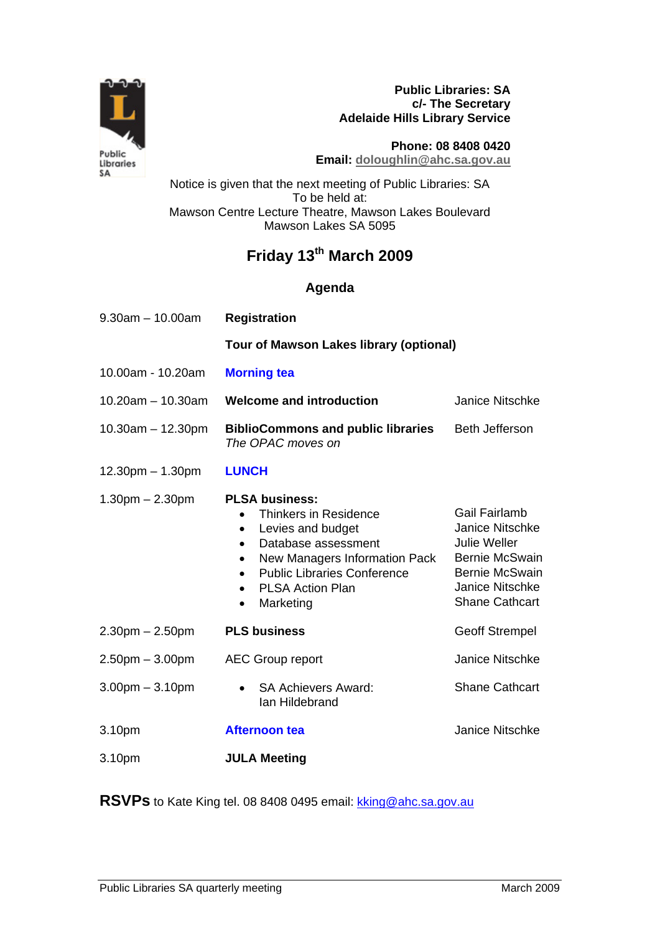

**Public Libraries: SA c/- The Secretary Adelaide Hills Library Service** 

**Phone: 08 8408 0420 Email: doloughlin@ahc.sa.gov.au** 

Notice is given that the next meeting of Public Libraries: SA To be held at: Mawson Centre Lecture Theatre, Mawson Lakes Boulevard Mawson Lakes SA 5095

## **Friday 13th March 2009**

## **Agenda**

| $9.30am - 10.00am$      | <b>Registration</b>                                                                                                                                                                                                                              |                                                                                                                                                                     |
|-------------------------|--------------------------------------------------------------------------------------------------------------------------------------------------------------------------------------------------------------------------------------------------|---------------------------------------------------------------------------------------------------------------------------------------------------------------------|
|                         | <b>Tour of Mawson Lakes library (optional)</b>                                                                                                                                                                                                   |                                                                                                                                                                     |
| 10.00am - 10.20am       | <b>Morning tea</b>                                                                                                                                                                                                                               |                                                                                                                                                                     |
| $10.20$ am $- 10.30$ am | <b>Welcome and introduction</b>                                                                                                                                                                                                                  | <b>Janice Nitschke</b>                                                                                                                                              |
| $10.30$ am $- 12.30$ pm | <b>BiblioCommons and public libraries</b><br>The OPAC moves on                                                                                                                                                                                   | <b>Beth Jefferson</b>                                                                                                                                               |
| $12.30pm - 1.30pm$      | <b>LUNCH</b>                                                                                                                                                                                                                                     |                                                                                                                                                                     |
| $1.30pm - 2.30pm$       | <b>PLSA business:</b><br>Thinkers in Residence<br>Levies and budget<br>$\bullet$<br>Database assessment<br>New Managers Information Pack<br><b>Public Libraries Conference</b><br><b>PLSA Action Plan</b><br>$\bullet$<br>Marketing<br>$\bullet$ | Gail Fairlamb<br><b>Janice Nitschke</b><br><b>Julie Weller</b><br><b>Bernie McSwain</b><br><b>Bernie McSwain</b><br><b>Janice Nitschke</b><br><b>Shane Cathcart</b> |
| $2.30pm - 2.50pm$       | <b>PLS business</b>                                                                                                                                                                                                                              | <b>Geoff Strempel</b>                                                                                                                                               |
| $2.50pm - 3.00pm$       | <b>AEC Group report</b>                                                                                                                                                                                                                          | <b>Janice Nitschke</b>                                                                                                                                              |
| $3.00$ pm $-3.10$ pm    | <b>SA Achievers Award:</b><br>$\bullet$<br>lan Hildebrand                                                                                                                                                                                        | <b>Shane Cathcart</b>                                                                                                                                               |
| 3.10pm                  | <b>Afternoon tea</b>                                                                                                                                                                                                                             | <b>Janice Nitschke</b>                                                                                                                                              |
| 3.10pm                  | <b>JULA Meeting</b>                                                                                                                                                                                                                              |                                                                                                                                                                     |

RSVPs to Kate King tel. 08 8408 0495 email: kking@ahc.sa.gov.au